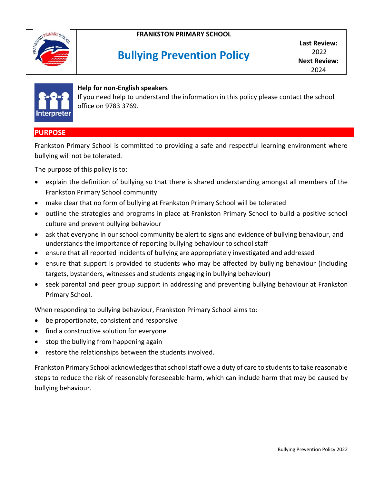



# **Bullying Prevention Policy**

**Last Review:**  2022 **Next Review:** 2024



## **Help for non-English speakers**

If you need help to understand the information in this policy please contact the school office on 9783 3769.

**PURPOSE**

Frankston Primary School is committed to providing a safe and respectful learning environment where bullying will not be tolerated.

The purpose of this policy is to:

- explain the definition of bullying so that there is shared understanding amongst all members of the Frankston Primary School community
- make clear that no form of bullying at Frankston Primary School will be tolerated
- outline the strategies and programs in place at Frankston Primary School to build a positive school culture and prevent bullying behaviour
- ask that everyone in our school community be alert to signs and evidence of bullying behaviour, and understands the importance of reporting bullying behaviour to school staff
- ensure that all reported incidents of bullying are appropriately investigated and addressed
- ensure that support is provided to students who may be affected by bullying behaviour (including targets, bystanders, witnesses and students engaging in bullying behaviour)
- seek parental and peer group support in addressing and preventing bullying behaviour at Frankston Primary School.

When responding to bullying behaviour, Frankston Primary School aims to:

- be proportionate, consistent and responsive
- find a constructive solution for everyone
- stop the bullying from happening again
- restore the relationships between the students involved.

Frankston Primary School acknowledges that school staff owe a duty of care to students to take reasonable steps to reduce the risk of reasonably foreseeable harm, which can include harm that may be caused by bullying behaviour.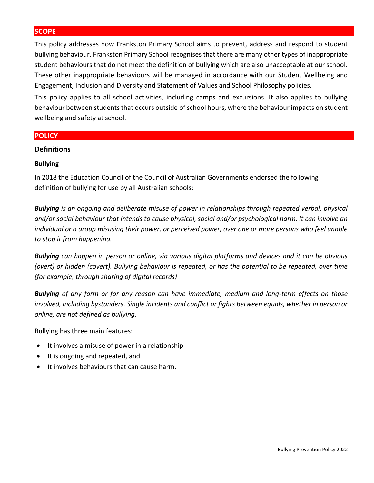# **SCOPE**

This policy addresses how Frankston Primary School aims to prevent, address and respond to student bullying behaviour. Frankston Primary School recognises that there are many other types of inappropriate student behaviours that do not meet the definition of bullying which are also unacceptable at our school. These other inappropriate behaviours will be managed in accordance with our Student Wellbeing and Engagement, Inclusion and Diversity and Statement of Values and School Philosophy policies.

This policy applies to all school activities, including camps and excursions. It also applies to bullying behaviour between students that occurs outside of school hours, where the behaviour impacts on student wellbeing and safety at school.

## **POLICY**

#### **Definitions**

#### **Bullying**

In 2018 the Education Council of the Council of Australian Governments endorsed the following definition of bullying for use by all Australian schools:

*Bullying is an ongoing and deliberate misuse of power in relationships through repeated verbal, physical and/or social behaviour that intends to cause physical, social and/or psychological harm. It can involve an individual or a group misusing their power, or perceived power, over one or more persons who feel unable to stop it from happening.*

*Bullying can happen in person or online, via various digital platforms and devices and it can be obvious (overt) or hidden (covert). Bullying behaviour is repeated, or has the potential to be repeated, over time (for example, through sharing of digital records)*

*Bullying of any form or for any reason can have immediate, medium and long-term effects on those involved, including bystanders. Single incidents and conflict or fights between equals, whether in person or online, are not defined as bullying.* 

Bullying has three main features:

- It involves a misuse of power in a relationship
- It is ongoing and repeated, and
- It involves behaviours that can cause harm.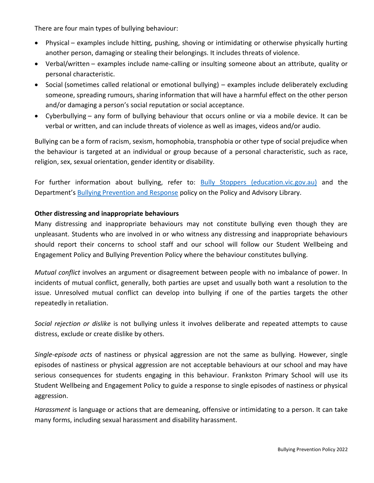There are four main types of bullying behaviour:

- Physical examples include hitting, pushing, shoving or intimidating or otherwise physically hurting another person, damaging or stealing their belongings. It includes threats of violence.
- Verbal/written examples include name-calling or insulting someone about an attribute, quality or personal characteristic.
- Social (sometimes called relational or emotional bullying) examples include deliberately excluding someone, spreading rumours, sharing information that will have a harmful effect on the other person and/or damaging a person's social reputation or social acceptance.
- Cyberbullying any form of bullying behaviour that occurs online or via a mobile device. It can be verbal or written, and can include threats of violence as well as images, videos and/or audio.

Bullying can be a form of racism, sexism, homophobia, transphobia or other type of social prejudice when the behaviour is targeted at an individual or group because of a personal characteristic, such as race, religion, sex, sexual orientation, gender identity or disability.

For further information about bullying, refer to: [Bully Stoppers \(education.vic.gov.au\)](https://www.education.vic.gov.au/about/programs/bullystoppers/Pages/default.aspx) and the Department's [Bullying Prevention and Response](https://www2.education.vic.gov.au/pal/bullying-prevention-response/policy) policy on the Policy and Advisory Library.

## **Other distressing and inappropriate behaviours**

Many distressing and inappropriate behaviours may not constitute bullying even though they are unpleasant. Students who are involved in or who witness any distressing and inappropriate behaviours should report their concerns to school staff and our school will follow our Student Wellbeing and Engagement Policy and Bullying Prevention Policy where the behaviour constitutes bullying.

*Mutual conflict* involves an argument or disagreement between people with no imbalance of power. In incidents of mutual conflict, generally, both parties are upset and usually both want a resolution to the issue. Unresolved mutual conflict can develop into bullying if one of the parties targets the other repeatedly in retaliation.

*Social rejection or dislike* is not bullying unless it involves deliberate and repeated attempts to cause distress, exclude or create dislike by others.

*Single-episode acts* of nastiness or physical aggression are not the same as bullying. However, single episodes of nastiness or physical aggression are not acceptable behaviours at our school and may have serious consequences for students engaging in this behaviour. Frankston Primary School will use its Student Wellbeing and Engagement Policy to guide a response to single episodes of nastiness or physical aggression.

*Harassment* is language or actions that are demeaning, offensive or intimidating to a person. It can take many forms, including sexual harassment and disability harassment.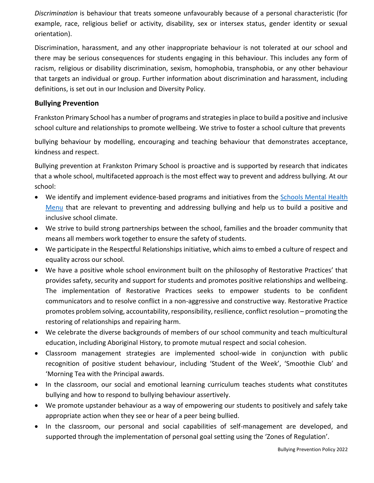*Discrimination* is behaviour that treats someone unfavourably because of a personal characteristic (for example, race, religious belief or activity, disability, sex or intersex status, gender identity or sexual orientation).

Discrimination, harassment, and any other inappropriate behaviour is not tolerated at our school and there may be serious consequences for students engaging in this behaviour. This includes any form of racism, religious or disability discrimination, sexism, homophobia, transphobia, or any other behaviour that targets an individual or group. Further information about discrimination and harassment, including definitions, is set out in our Inclusion and Diversity Policy.

# **Bullying Prevention**

Frankston Primary School has a number of programs and strategies in place to build a positive and inclusive school culture and relationships to promote wellbeing. We strive to foster a school culture that prevents

bullying behaviour by modelling, encouraging and teaching behaviour that demonstrates acceptance, kindness and respect.

Bullying prevention at Frankston Primary School is proactive and is supported by research that indicates that a whole school, multifaceted approach is the most effect way to prevent and address bullying. At our school:

- We identify and implement evidence-based programs and initiatives from the [Schools Mental Health](https://www.education.vic.gov.au/school/teachers/health/mentalhealth/mental-health-menu/Pages/Menu.aspx?Redirect=1)  [Menu](https://www.education.vic.gov.au/school/teachers/health/mentalhealth/mental-health-menu/Pages/Menu.aspx?Redirect=1) that are relevant to preventing and addressing bullying and help us to build a positive and inclusive school climate.
- We strive to build strong partnerships between the school, families and the broader community that means all members work together to ensure the safety of students.
- We participate in the Respectful Relationships initiative, which aims to embed a culture of respect and equality across our school.
- We have a positive whole school environment built on the philosophy of Restorative Practices' that provides safety, security and support for students and promotes positive relationships and wellbeing. The implementation of Restorative Practices seeks to empower students to be confident communicators and to resolve conflict in a non-aggressive and constructive way. Restorative Practice promotes problem solving, accountability, responsibility, resilience, conflict resolution – promoting the restoring of relationships and repairing harm.
- We celebrate the diverse backgrounds of members of our school community and teach multicultural education, including Aboriginal History, to promote mutual respect and social cohesion.
- Classroom management strategies are implemented school-wide in conjunction with public recognition of positive student behaviour, including 'Student of the Week', 'Smoothie Club' and 'Morning Tea with the Principal awards.
- In the classroom, our social and emotional learning curriculum teaches students what constitutes bullying and how to respond to bullying behaviour assertively.
- We promote upstander behaviour as a way of empowering our students to positively and safely take appropriate action when they see or hear of a peer being bullied.
- In the classroom, our personal and social capabilities of self-management are developed, and supported through the implementation of personal goal setting using the 'Zones of Regulation'.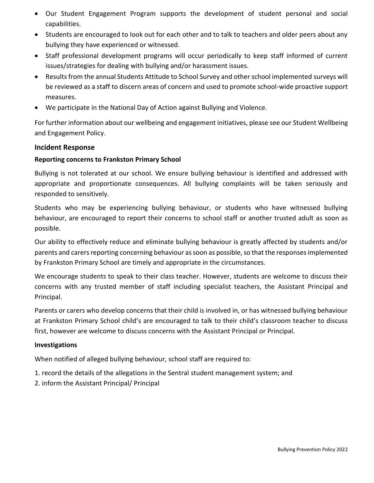- Our Student Engagement Program supports the development of student personal and social capabilities.
- Students are encouraged to look out for each other and to talk to teachers and older peers about any bullying they have experienced or witnessed.
- Staff professional development programs will occur periodically to keep staff informed of current issues/strategies for dealing with bullying and/or harassment issues.
- Results from the annual Students Attitude to School Survey and other school implemented surveys will be reviewed as a staff to discern areas of concern and used to promote school-wide proactive support measures.
- We participate in the National Day of Action against Bullying and Violence.

For further information about our wellbeing and engagement initiatives, please see our Student Wellbeing and Engagement Policy.

#### **Incident Response**

#### **Reporting concerns to Frankston Primary School**

Bullying is not tolerated at our school. We ensure bullying behaviour is identified and addressed with appropriate and proportionate consequences. All bullying complaints will be taken seriously and responded to sensitively.

Students who may be experiencing bullying behaviour, or students who have witnessed bullying behaviour, are encouraged to report their concerns to school staff or another trusted adult as soon as possible.

Our ability to effectively reduce and eliminate bullying behaviour is greatly affected by students and/or parents and carers reporting concerning behaviour as soon as possible, so that the responses implemented by Frankston Primary School are timely and appropriate in the circumstances.

We encourage students to speak to their class teacher. However, students are welcome to discuss their concerns with any trusted member of staff including specialist teachers, the Assistant Principal and Principal.

Parents or carers who develop concerns that their child is involved in, or has witnessed bullying behaviour at Frankston Primary School child's are encouraged to talk to their child's classroom teacher to discuss first, however are welcome to discuss concerns with the Assistant Principal or Principal.

#### **Investigations**

When notified of alleged bullying behaviour, school staff are required to:

- 1. record the details of the allegations in the Sentral student management system; and
- 2. inform the Assistant Principal/ Principal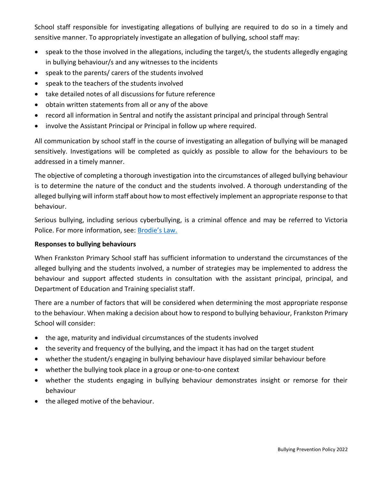School staff responsible for investigating allegations of bullying are required to do so in a timely and sensitive manner. To appropriately investigate an allegation of bullying, school staff may:

- speak to the those involved in the allegations, including the target/s, the students allegedly engaging in bullying behaviour/s and any witnesses to the incidents
- speak to the parents/ carers of the students involved
- speak to the teachers of the students involved
- take detailed notes of all discussions for future reference
- obtain written statements from all or any of the above
- record all information in Sentral and notify the assistant principal and principal through Sentral
- involve the Assistant Principal or Principal in follow up where required.

All communication by school staff in the course of investigating an allegation of bullying will be managed sensitively. Investigations will be completed as quickly as possible to allow for the behaviours to be addressed in a timely manner.

The objective of completing a thorough investigation into the circumstances of alleged bullying behaviour is to determine the nature of the conduct and the students involved. A thorough understanding of the alleged bullying will inform staff about how to most effectively implement an appropriate response to that behaviour.

Serious bullying, including serious cyberbullying, is a criminal offence and may be referred to Victoria Police. For more information, see: **[Brodie's Law.](http://www.education.vic.gov.au/about/programs/bullystoppers/Pages/advicesheetbrodieslaw.aspx)** 

# **Responses to bullying behaviours**

When Frankston Primary School staff has sufficient information to understand the circumstances of the alleged bullying and the students involved, a number of strategies may be implemented to address the behaviour and support affected students in consultation with the assistant principal, principal, and Department of Education and Training specialist staff.

There are a number of factors that will be considered when determining the most appropriate response to the behaviour. When making a decision about how to respond to bullying behaviour, Frankston Primary School will consider:

- the age, maturity and individual circumstances of the students involved
- the severity and frequency of the bullying, and the impact it has had on the target student
- whether the student/s engaging in bullying behaviour have displayed similar behaviour before
- whether the bullying took place in a group or one-to-one context
- whether the students engaging in bullying behaviour demonstrates insight or remorse for their behaviour
- the alleged motive of the behaviour.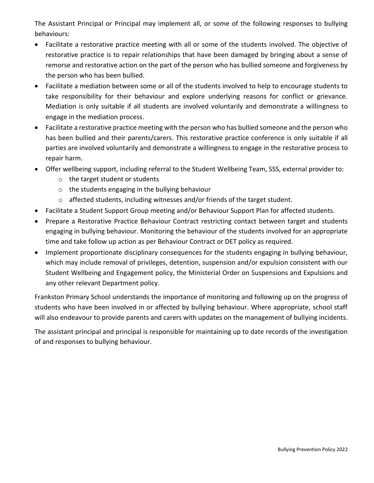The Assistant Principal or Principal may implement all, or some of the following responses to bullying behaviours:

- Facilitate a restorative practice meeting with all or some of the students involved. The objective of restorative practice is to repair relationships that have been damaged by bringing about a sense of remorse and restorative action on the part of the person who has bullied someone and forgiveness by the person who has been bullied.
- Facilitate a mediation between some or all of the students involved to help to encourage students to take responsibility for their behaviour and explore underlying reasons for conflict or grievance. Mediation is only suitable if all students are involved voluntarily and demonstrate a willingness to engage in the mediation process.
- Facilitate a restorative practice meeting with the person who has bullied someone and the person who has been bullied and their parents/carers. This restorative practice conference is only suitable if all parties are involved voluntarily and demonstrate a willingness to engage in the restorative process to repair harm.
- Offer wellbeing support, including referral to the Student Wellbeing Team, SSS, external provider to:
	- o the target student or students
	- o the students engaging in the bullying behaviour
	- o affected students, including witnesses and/or friends of the target student.
- Facilitate a Student Support Group meeting and/or Behaviour Support Plan for affected students.
- Prepare a Restorative Practice Behaviour Contract restricting contact between target and students engaging in bullying behaviour. Monitoring the behaviour of the students involved for an appropriate time and take follow up action as per Behaviour Contract or DET policy as required.
- Implement proportionate disciplinary consequences for the students engaging in bullying behaviour, which may include removal of privileges, detention, suspension and/or expulsion consistent with our Student Wellbeing and Engagement policy, the Ministerial Order on Suspensions and Expulsions and any other relevant Department policy.

Frankston Primary School understands the importance of monitoring and following up on the progress of students who have been involved in or affected by bullying behaviour. Where appropriate, school staff will also endeavour to provide parents and carers with updates on the management of bullying incidents.

The assistant principal and principal is responsible for maintaining up to date records of the investigation of and responses to bullying behaviour.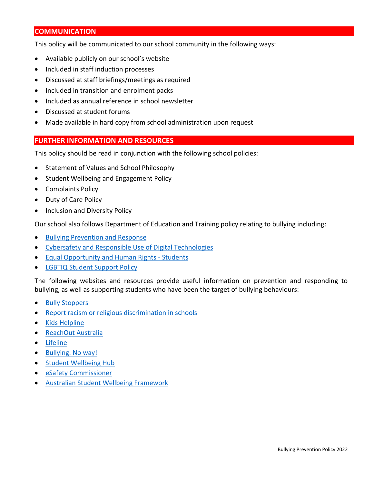# **COMMUNICATION**

This policy will be communicated to our school community in the following ways:

- Available publicly on our school's website
- Included in staff induction processes
- Discussed at staff briefings/meetings as required
- Included in transition and enrolment packs
- Included as annual reference in school newsletter
- Discussed at student forums
- Made available in hard copy from school administration upon request

#### **FURTHER INFORMATION AND RESOURCES**

This policy should be read in conjunction with the following school policies:

- Statement of Values and School Philosophy
- Student Wellbeing and Engagement Policy
- Complaints Policy
- Duty of Care Policy
- Inclusion and Diversity Policy

Our school also follows Department of Education and Training policy relating to bullying including:

- [Bullying Prevention and Response](https://www2.education.vic.gov.au/pal/bullying-prevention-response/policy)
- [Cybersafety and Responsible Use of Digital Technologies](https://www2.education.vic.gov.au/pal/cybersafety/policy)
- **[Equal Opportunity and Human Rights -](https://www2.education.vic.gov.au/pal/equal-opportunity-human-rights-students/policy) Students**
- **.** [LGBTIQ Student Support Policy](https://www2.education.vic.gov.au/pal/lgbtiq-student-support/policy)

The following websites and resources provide useful information on prevention and responding to bullying, as well as supporting students who have been the target of bullying behaviours:

- [Bully Stoppers](https://www.education.vic.gov.au/about/programs/bullystoppers/Pages/default.aspx)
- [Report racism or religious discrimination in schools](https://www.vic.gov.au/report-racism-or-religious-discrimination-schools)
- [Kids Helpline](https://kidshelpline.com.au/)
- [ReachOut Australia](https://au.reachout.com/)
- [Lifeline](https://www.lifeline.org.au/)
- [Bullying. No way!](https://bullyingnoway.gov.au/)
- [Student Wellbeing Hub](https://www.studentwellbeinghub.edu.au/)
- **•** eSafety Commissioner
- [Australian Student Wellbeing Framework](https://studentwellbeinghub.edu.au/educators/resources/australian-student-wellbeing-framework/)